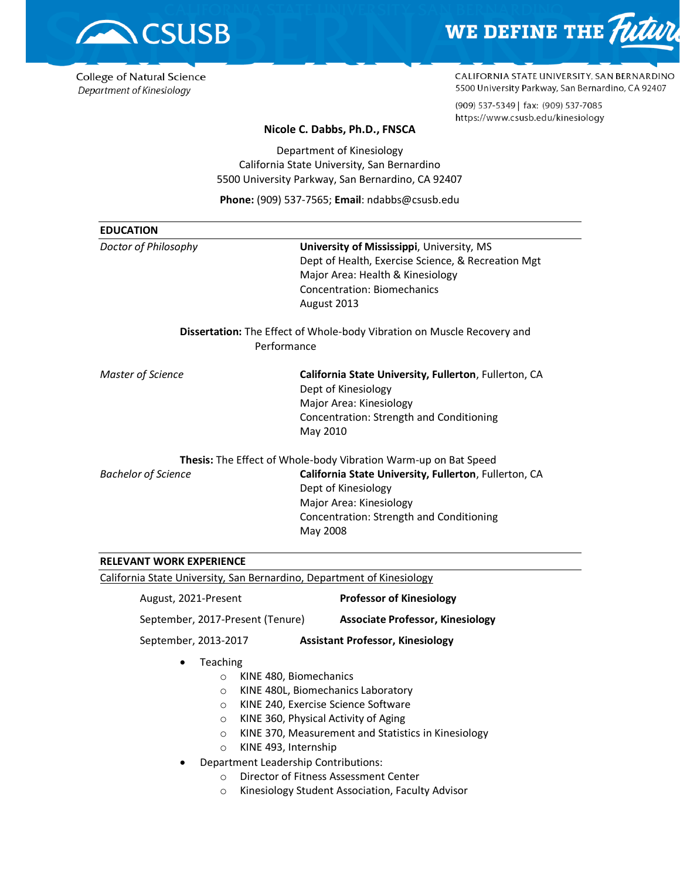

## College of Natural Science Department of Kinesiology



CALIFORNIA STATE UNIVERSITY, SAN BERNARDINO 5500 University Parkway, San Bernardino, CA 92407

(909) 537-5349 | fax: (909) 537-7085 https://www.csusb.edu/kinesiology

### **Nicole C. Dabbs, Ph.D., FNSCA**

Department of Kinesiology California State University, San Bernardino 5500 University Parkway, San Bernardino, CA 92407

**Phone:** (909) 537-7565; **Email**: ndabbs@csusb.edu

| University of Mississippi, University, MS<br>Dept of Health, Exercise Science, & Recreation Mgt<br>Major Area: Health & Kinesiology<br><b>Concentration: Biomechanics</b><br>August 2013<br><b>Dissertation:</b> The Effect of Whole-body Vibration on Muscle Recovery and<br>Performance<br>California State University, Fullerton, Fullerton, CA<br>Dept of Kinesiology<br>Major Area: Kinesiology<br>Concentration: Strength and Conditioning<br>May 2010<br><b>Thesis:</b> The Effect of Whole-body Vibration Warm-up on Bat Speed<br>California State University, Fullerton, Fullerton, CA<br>Dept of Kinesiology<br>Major Area: Kinesiology<br>Concentration: Strength and Conditioning<br>May 2008 | <b>EDUCATION</b>                |  |
|-----------------------------------------------------------------------------------------------------------------------------------------------------------------------------------------------------------------------------------------------------------------------------------------------------------------------------------------------------------------------------------------------------------------------------------------------------------------------------------------------------------------------------------------------------------------------------------------------------------------------------------------------------------------------------------------------------------|---------------------------------|--|
|                                                                                                                                                                                                                                                                                                                                                                                                                                                                                                                                                                                                                                                                                                           | Doctor of Philosophy            |  |
|                                                                                                                                                                                                                                                                                                                                                                                                                                                                                                                                                                                                                                                                                                           |                                 |  |
|                                                                                                                                                                                                                                                                                                                                                                                                                                                                                                                                                                                                                                                                                                           | Master of Science               |  |
|                                                                                                                                                                                                                                                                                                                                                                                                                                                                                                                                                                                                                                                                                                           |                                 |  |
|                                                                                                                                                                                                                                                                                                                                                                                                                                                                                                                                                                                                                                                                                                           | <b>Bachelor of Science</b>      |  |
|                                                                                                                                                                                                                                                                                                                                                                                                                                                                                                                                                                                                                                                                                                           | <b>RELEVANT WORK EXPERIENCE</b> |  |

California State University, San Bernardino, Department of Kinesiology

August, 2021-Present **Professor of Kinesiology**

September, 2017-Present (Tenure) **Associate Professor, Kinesiology**

September, 2013-2017 **Assistant Professor, Kinesiology**

- Teaching
	- o KINE 480, Biomechanics
	- o KINE 480L, Biomechanics Laboratory
	- o KINE 240, Exercise Science Software
	- o KINE 360, Physical Activity of Aging
	- o KINE 370, Measurement and Statistics in Kinesiology
	- o KINE 493, Internship
- Department Leadership Contributions:
	- o Director of Fitness Assessment Center
	- o Kinesiology Student Association, Faculty Advisor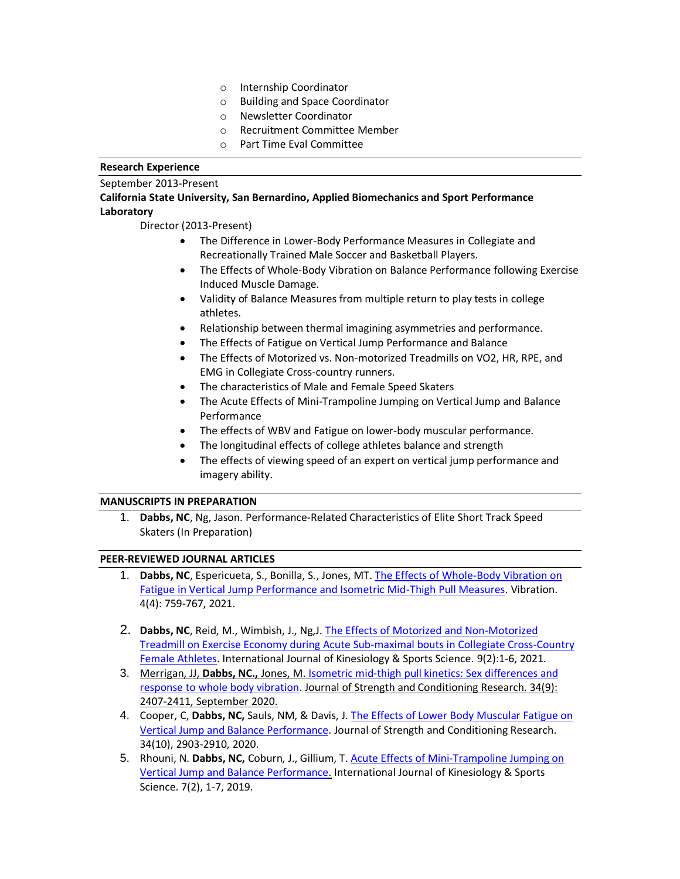- o Internship Coordinator
- o Building and Space Coordinator
- o Newsletter Coordinator
- o Recruitment Committee Member
- o Part Time Eval Committee

### **Research Experience**

## September 2013-Present

## **California State University, San Bernardino, Applied Biomechanics and Sport Performance Laboratory**

Director (2013-Present)

- The Difference in Lower-Body Performance Measures in Collegiate and Recreationally Trained Male Soccer and Basketball Players.
- The Effects of Whole-Body Vibration on Balance Performance following Exercise Induced Muscle Damage.
- Validity of Balance Measures from multiple return to play tests in college athletes.
- Relationship between thermal imagining asymmetries and performance.
- The Effects of Fatigue on Vertical Jump Performance and Balance
- The Effects of Motorized vs. Non-motorized Treadmills on VO2, HR, RPE, and EMG in Collegiate Cross-country runners.
- The characteristics of Male and Female Speed Skaters
- The Acute Effects of Mini-Trampoline Jumping on Vertical Jump and Balance Performance
- The effects of WBV and Fatigue on lower-body muscular performance.
- The longitudinal effects of college athletes balance and strength
- The effects of viewing speed of an expert on vertical jump performance and imagery ability.

### **MANUSCRIPTS IN PREPARATION**

1. **Dabbs, NC**, Ng, Jason. Performance-Related Characteristics of Elite Short Track Speed Skaters (In Preparation)

## **PEER-REVIEWED JOURNAL ARTICLES**

- 1. **Dabbs, NC**, Espericueta, S., Bonilla, S., Jones, MT. [The Effects of Whole-Body Vibration on](https://www.mdpi.com/2571-631X/4/4/42/htm)  [Fatigue in Vertical Jump Performance and Isometric Mid-Thigh Pull Measures.](https://www.mdpi.com/2571-631X/4/4/42/htm) Vibration. 4(4): 759-767, 2021.
- 2. **Dabbs, NC**, Reid, M., Wimbish, J., Ng,J[. The Effects of Motorized and Non-Motorized](https://www.journals.aiac.org.au/index.php/IJKSS/article/view/6648/4621)  [Treadmill on Exercise Economy during Acute Sub-maximal bouts in Collegiate Cross-Country](https://www.journals.aiac.org.au/index.php/IJKSS/article/view/6648/4621)  [Female Athletes.](https://www.journals.aiac.org.au/index.php/IJKSS/article/view/6648/4621) International Journal of Kinesiology & Sports Science. 9(2):1-6, 2021.
- 3. Merrigan, JJ, **Dabbs, NC.,** Jones, M[. Isometric mid-thigh pull kinetics: Sex differences and](https://pubmed.ncbi.nlm.nih.gov/32865941/)  [response to whole body vibration.](https://pubmed.ncbi.nlm.nih.gov/32865941/) Journal of Strength and Conditioning Research. 34(9): 2407-2411, September 2020.
- 4. Cooper, C, **Dabbs, NC,** Sauls, NM, & Davis, J. [The Effects of Lower Body Muscular Fatigue on](https://www.ncbi.nlm.nih.gov/pubmed/30273290)  [Vertical Jump and Balance Performance.](https://www.ncbi.nlm.nih.gov/pubmed/30273290) Journal of Strength and Conditioning Research. 34(10), 2903-2910, 2020.
- 5. Rhouni, N. **Dabbs, NC,** Coburn, J., Gillium, T. Acute Effects [of Mini-Trampoline Jumping on](http://dx.doi.org/10.7575/aiac.ijkss.v.7n.2p.1)  [Vertical Jump and Balance Performance.](http://dx.doi.org/10.7575/aiac.ijkss.v.7n.2p.1) International Journal of Kinesiology & Sports Science. 7(2), 1-7, 2019.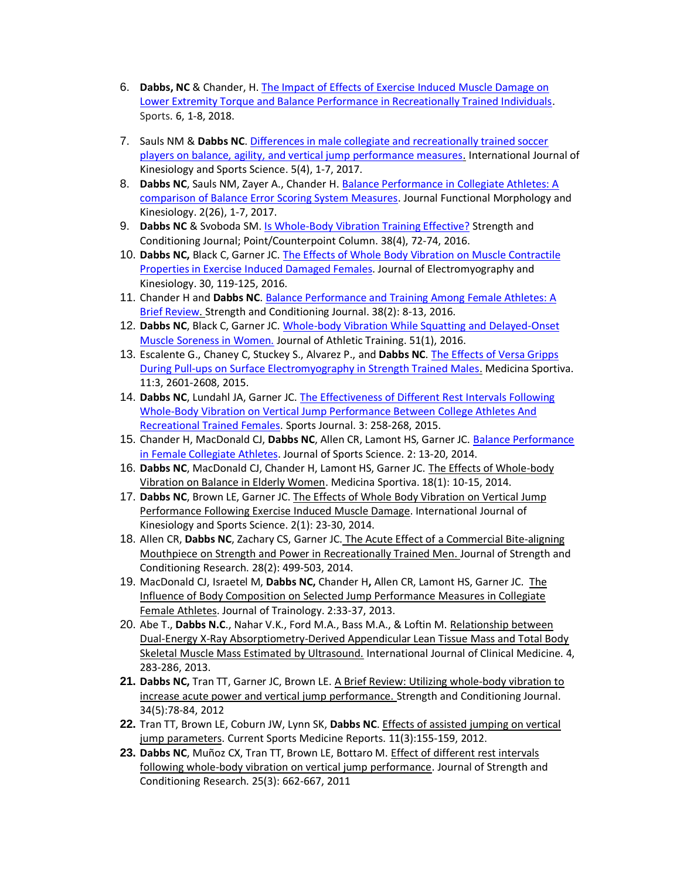- 6. **Dabbs, NC** & Chander, H[. The Impact of Effects of Exercise Induced Muscle Damage on](https://doi.org/10.3390/sports6030101)  [Lower Extremity Torque and Balance Performance in Recreationally Trained Individuals.](https://doi.org/10.3390/sports6030101) Sports. 6, 1-8, 2018.
- 7. Sauls NM & **Dabbs NC**. [Differences in male collegiate and recreationally trained soccer](http://dx.doi.org/10.7575/aiac.ijkss.v.5n.4p.45)  [players on balance, agility, and vertical jump performance measures.](http://dx.doi.org/10.7575/aiac.ijkss.v.5n.4p.45) International Journal of Kinesiology and Sports Science. 5(4), 1-7, 2017.
- 8. **Dabbs NC**, Sauls NM, Zayer A., Chander H. [Balance Performance in Collegiate Athletes: A](https://doi.org/10.3390/jfmk2030026)  [comparison of Balance Error Scoring System Measures.](https://doi.org/10.3390/jfmk2030026) Journal Functional Morphology and Kinesiology. 2(26), 1-7, 2017.
- 9. **Dabbs NC** & Svoboda SM. [Is Whole-Body Vibration Training Effective?](https://journals.lww.com/nsca-scj/Abstract/2016/08000/Is_Whole_Body_Vibration_Training_Effective_.11.aspx) Strength and Conditioning Journal; Point/Counterpoint Column. 38(4), 72-74, 2016.
- 10. **Dabbs NC,** Black C, Garner JC[. The Effects of Whole Body Vibration on Muscle Contractile](https://doi.org/10.1016/j.jelekin.2016.06.008)  [Properties in Exercise Induced Damaged Females.](https://doi.org/10.1016/j.jelekin.2016.06.008) Journal of Electromyography and Kinesiology. 30, 119-125, 2016.
- 11. Chander H and **Dabbs NC**. [Balance Performance and Training Among Female Athletes: A](https://journals.lww.com/nsca-scj/Abstract/2016/04000/Balance_Performance_and_Training_Among_Female.3.aspx)  [Brief Review.](https://journals.lww.com/nsca-scj/Abstract/2016/04000/Balance_Performance_and_Training_Among_Female.3.aspx) Strength and Conditioning Journal. 38(2): 8-13, 2016.
- 12. **Dabbs NC**, Black C, Garner JC[. Whole-body Vibration While Squatting and Delayed-Onset](https://doi.org/10.4085/1062-6050-51.1.02)  [Muscle Soreness in Women.](https://doi.org/10.4085/1062-6050-51.1.02) Journal of Athletic Training. 51(1), 2016.
- 13. Escalente G., Chaney C, Stuckey S., Alvarez P., and **Dabbs NC**. [The Effects of Versa Gripps](https://www.medicinasportiva.ro/SRoMS/english/Journal/No.43/effects_Versa_Gripps_pull-ups_electromyography_strength.html)  [During Pull-ups on Surface Electromyography in Strength Trained Males.](https://www.medicinasportiva.ro/SRoMS/english/Journal/No.43/effects_Versa_Gripps_pull-ups_electromyography_strength.html) Medicina Sportiva. 11:3, 2601-2608, 2015.
- 14. **Dabbs NC**, Lundahl JA, Garner JC. [The Effectiveness of Different Rest Intervals Following](https://pdfs.semanticscholar.org/471e/6affaa2335bd2b54448d8f6f5baed1517f8a.pdf)  [Whole-Body Vibration on Vertical Jump Performance Between College Athletes And](https://pdfs.semanticscholar.org/471e/6affaa2335bd2b54448d8f6f5baed1517f8a.pdf)  [Recreational Trained Females.](https://pdfs.semanticscholar.org/471e/6affaa2335bd2b54448d8f6f5baed1517f8a.pdf) Sports Journal. 3: 258-268, 2015.
- 15. Chander H, MacDonald CJ, **Dabbs NC**, Allen CR, Lamont HS, Garner JC. [Balance Performance](http://www.davidpublisher.org/index.php/Home/Article/index?id=1081.html)  [in Female Collegiate Athletes.](http://www.davidpublisher.org/index.php/Home/Article/index?id=1081.html) Journal of Sports Science. 2: 13-20, 2014.
- 16. **Dabbs NC**, MacDonald CJ, Chander H, Lamont HS, Garner JC. The Effects of Whole-body Vibration on Balance in Elderly Women. Medicina Sportiva. 18(1): 10-15, 2014.
- 17. **Dabbs NC**, Brown LE, Garner JC. The Effects of Whole Body Vibration on Vertical Jump Performance Following Exercise Induced Muscle Damage. International Journal of Kinesiology and Sports Science. 2(1): 23-30, 2014.
- 18. Allen CR, **Dabbs NC**, Zachary CS, Garner JC. The Acute Effect of a Commercial Bite-aligning Mouthpiece on Strength and Power in Recreationally Trained Men. Journal of Strength and Conditioning Research. 28(2): 499-503, 2014.
- 19. MacDonald CJ, Israetel M, **Dabbs NC,** Chander H**,** Allen CR, Lamont HS, Garner JC. The Influence of Body Composition on Selected Jump Performance Measures in Collegiate Female Athletes. Journal of Trainology. 2:33-37, 2013.
- 20. Abe T., **Dabbs N.C**., Nahar V.K., Ford M.A., Bass M.A., & Loftin M. Relationship between Dual-Energy X-Ray Absorptiometry-Derived Appendicular Lean Tissue Mass and Total Body Skeletal Muscle Mass Estimated by Ultrasound. International Journal of Clinical Medicine. 4, 283-286, 2013.
- **21. Dabbs NC,** Tran TT, Garner JC, Brown LE. A Brief Review: Utilizing whole-body vibration to increase acute power and vertical jump performance. Strength and Conditioning Journal. 34(5):78-84, 2012
- **22.** Tran TT, Brown LE, Coburn JW, Lynn SK, **Dabbs NC**. Effects of assisted jumping on vertical jump parameters. Current Sports Medicine Reports. 11(3):155-159, 2012.
- **23. Dabbs NC**, Muñoz CX, Tran TT, Brown LE, Bottaro M. Effect of different rest intervals following whole-body vibration on vertical jump performance. Journal of Strength and Conditioning Research. 25(3): 662-667, 2011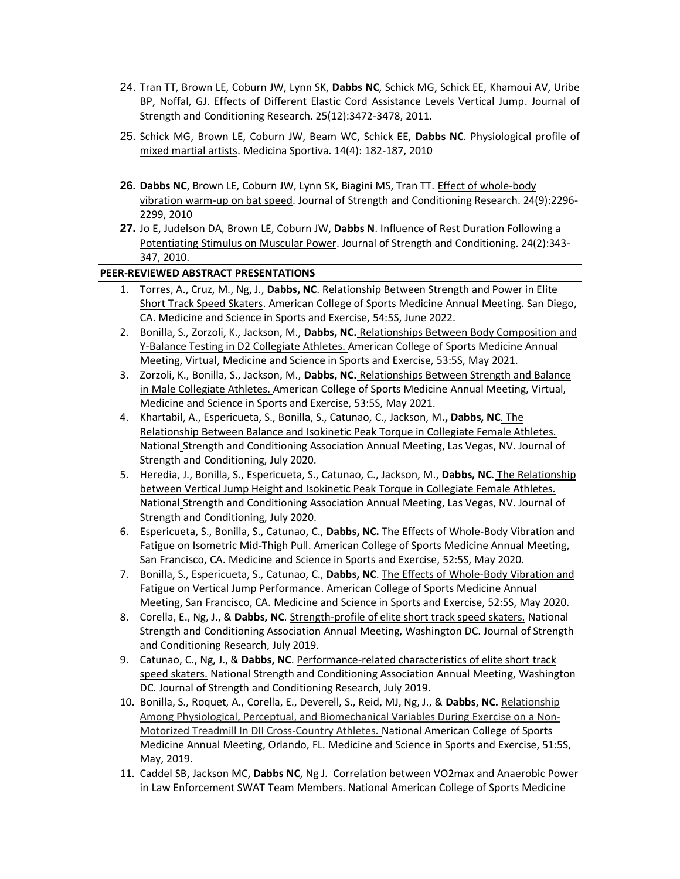- 24. Tran TT, Brown LE, Coburn JW, Lynn SK, **Dabbs NC**, Schick MG, Schick EE, Khamoui AV, Uribe BP, Noffal, GJ. Effects of Different Elastic Cord Assistance Levels Vertical Jump. Journal of Strength and Conditioning Research. 25(12):3472-3478, 2011.
- 25. Schick MG, Brown LE, Coburn JW, Beam WC, Schick EE, **Dabbs NC**. Physiological profile of mixed martial artists. Medicina Sportiva. 14(4): 182-187, 2010
- **26. Dabbs NC**, Brown LE, Coburn JW, Lynn SK, Biagini MS, Tran TT. Effect of whole-body vibration warm-up on bat speed. Journal of Strength and Conditioning Research. 24(9):2296- 2299, 2010
- **27.** Jo E, Judelson DA, Brown LE, Coburn JW, **Dabbs N**. Influence of Rest Duration Following a Potentiating Stimulus on Muscular Power. Journal of Strength and Conditioning. 24(2):343- 347, 2010.

# **PEER-REVIEWED ABSTRACT PRESENTATIONS**

- 1. Torres, A., Cruz, M., Ng, J., **Dabbs, NC**. Relationship Between Strength and Power in Elite Short Track Speed Skaters. American College of Sports Medicine Annual Meeting. San Diego, CA. Medicine and Science in Sports and Exercise, 54:5S, June 2022.
- 2. Bonilla, S., Zorzoli, K., Jackson, M., **Dabbs, NC.** Relationships Between Body Composition and Y-Balance Testing in D2 Collegiate Athletes. American College of Sports Medicine Annual Meeting, Virtual, Medicine and Science in Sports and Exercise, 53:5S, May 2021.
- 3. Zorzoli, K., Bonilla, S., Jackson, M., **Dabbs, NC.** Relationships Between Strength and Balance in Male Collegiate Athletes. American College of Sports Medicine Annual Meeting, Virtual, Medicine and Science in Sports and Exercise, 53:5S, May 2021.
- 4. Khartabil, A., Espericueta, S., Bonilla, S., Catunao, C., Jackson, M**., Dabbs, NC**. The Relationship Between Balance and Isokinetic Peak Torque in Collegiate Female Athletes. National Strength and Conditioning Association Annual Meeting, Las Vegas, NV. Journal of Strength and Conditioning, July 2020.
- 5. Heredia, J., Bonilla, S., Espericueta, S., Catunao, C., Jackson, M., **Dabbs, NC**. The Relationship between Vertical Jump Height and Isokinetic Peak Torque in Collegiate Female Athletes. National Strength and Conditioning Association Annual Meeting, Las Vegas, NV. Journal of Strength and Conditioning, July 2020.
- 6. Espericueta, S., Bonilla, S., Catunao, C., **Dabbs, NC.** The Effects of Whole-Body Vibration and Fatigue on Isometric Mid-Thigh Pull. American College of Sports Medicine Annual Meeting, San Francisco, CA. Medicine and Science in Sports and Exercise, 52:5S, May 2020.
- 7. Bonilla, S., Espericueta, S., Catunao, C., **Dabbs, NC**. The Effects of Whole-Body Vibration and Fatigue on Vertical Jump Performance. American College of Sports Medicine Annual Meeting, San Francisco, CA. Medicine and Science in Sports and Exercise, 52:5S, May 2020.
- 8. Corella, E., Ng, J., & **Dabbs, NC**. Strength-profile of elite short track speed skaters. National Strength and Conditioning Association Annual Meeting, Washington DC. Journal of Strength and Conditioning Research, July 2019.
- 9. Catunao, C., Ng, J., & **Dabbs, NC**. Performance-related characteristics of elite short track speed skaters. National Strength and Conditioning Association Annual Meeting, Washington DC. Journal of Strength and Conditioning Research, July 2019.
- 10. Bonilla, S., Roquet, A., Corella, E., Deverell, S., Reid, MJ, Ng, J., & **Dabbs, NC.** Relationship Among Physiological, Perceptual, and Biomechanical Variables During Exercise on a Non-Motorized Treadmill In DII Cross-Country Athletes. National American College of Sports Medicine Annual Meeting, Orlando, FL. Medicine and Science in Sports and Exercise, 51:5S, May, 2019.
- 11. Caddel SB, Jackson MC, **Dabbs NC**, Ng J. Correlation between VO2max and Anaerobic Power in Law Enforcement SWAT Team Members. National American College of Sports Medicine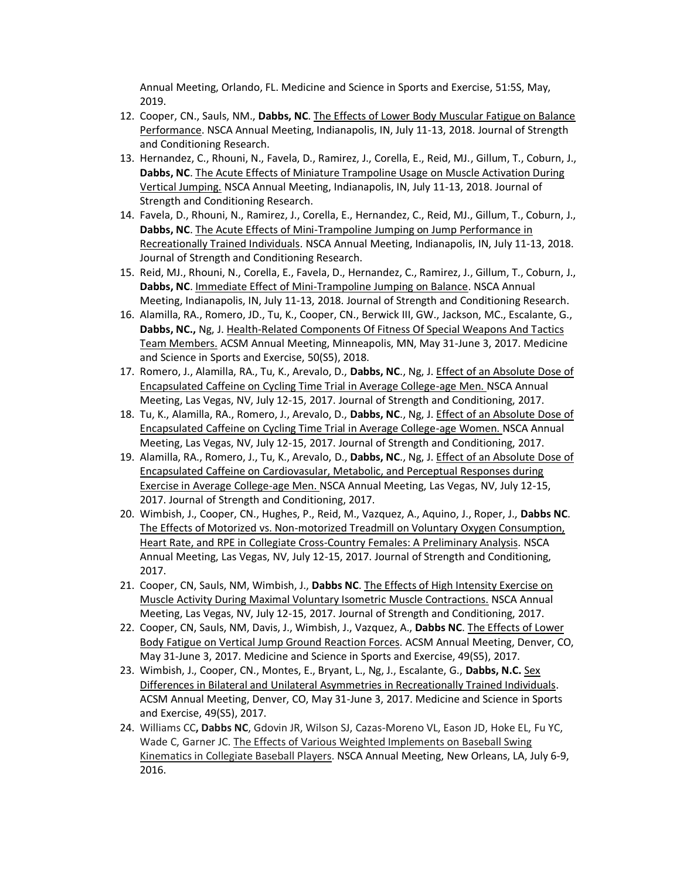Annual Meeting, Orlando, FL. Medicine and Science in Sports and Exercise, 51:5S, May, 2019.

- 12. Cooper, CN., Sauls, NM., **Dabbs, NC**. The Effects of Lower Body Muscular Fatigue on Balance Performance. NSCA Annual Meeting, Indianapolis, IN, July 11-13, 2018. Journal of Strength and Conditioning Research.
- 13. Hernandez, C., Rhouni, N., Favela, D., Ramirez, J., Corella, E., Reid, MJ., Gillum, T., Coburn, J., **Dabbs, NC**. The Acute Effects of Miniature Trampoline Usage on Muscle Activation During Vertical Jumping. NSCA Annual Meeting, Indianapolis, IN, July 11-13, 2018. Journal of Strength and Conditioning Research.
- 14. Favela, D., Rhouni, N., Ramirez, J., Corella, E., Hernandez, C., Reid, MJ., Gillum, T., Coburn, J., **Dabbs, NC**. The Acute Effects of Mini-Trampoline Jumping on Jump Performance in Recreationally Trained Individuals. NSCA Annual Meeting, Indianapolis, IN, July 11-13, 2018. Journal of Strength and Conditioning Research.
- 15. Reid, MJ., Rhouni, N., Corella, E., Favela, D., Hernandez, C., Ramirez, J., Gillum, T., Coburn, J., Dabbs, NC. Immediate Effect of Mini-Trampoline Jumping on Balance. NSCA Annual Meeting, Indianapolis, IN, July 11-13, 2018. Journal of Strength and Conditioning Research.
- 16. Alamilla, RA., Romero, JD., Tu, K., Cooper, CN., Berwick III, GW., Jackson, MC., Escalante, G., **Dabbs, NC.,** Ng, J. Health-Related Components Of Fitness Of Special Weapons And Tactics Team Members. ACSM Annual Meeting, Minneapolis, MN, May 31-June 3, 2017. Medicine and Science in Sports and Exercise, 50(S5), 2018.
- 17. Romero, J., Alamilla, RA., Tu, K., Arevalo, D., **Dabbs, NC**., Ng, J. Effect of an Absolute Dose of Encapsulated Caffeine on Cycling Time Trial in Average College-age Men. NSCA Annual Meeting, Las Vegas, NV, July 12-15, 2017. Journal of Strength and Conditioning, 2017.
- 18. Tu, K., Alamilla, RA., Romero, J., Arevalo, D., **Dabbs, NC**., Ng, J. Effect of an Absolute Dose of Encapsulated Caffeine on Cycling Time Trial in Average College-age Women. NSCA Annual Meeting, Las Vegas, NV, July 12-15, 2017. Journal of Strength and Conditioning, 2017.
- 19. Alamilla, RA., Romero, J., Tu, K., Arevalo, D., **Dabbs, NC**., Ng, J. Effect of an Absolute Dose of Encapsulated Caffeine on Cardiovasular, Metabolic, and Perceptual Responses during Exercise in Average College-age Men. NSCA Annual Meeting, Las Vegas, NV, July 12-15, 2017. Journal of Strength and Conditioning, 2017.
- 20. Wimbish, J., Cooper, CN., Hughes, P., Reid, M., Vazquez, A., Aquino, J., Roper, J., **Dabbs NC**. The Effects of Motorized vs. Non-motorized Treadmill on Voluntary Oxygen Consumption, Heart Rate, and RPE in Collegiate Cross-Country Females: A Preliminary Analysis. NSCA Annual Meeting, Las Vegas, NV, July 12-15, 2017. Journal of Strength and Conditioning, 2017.
- 21. Cooper, CN, Sauls, NM, Wimbish, J., **Dabbs NC**. The Effects of High Intensity Exercise on Muscle Activity During Maximal Voluntary Isometric Muscle Contractions. NSCA Annual Meeting, Las Vegas, NV, July 12-15, 2017. Journal of Strength and Conditioning, 2017.
- 22. Cooper, CN, Sauls, NM, Davis, J., Wimbish, J., Vazquez, A., **Dabbs NC**. The Effects of Lower Body Fatigue on Vertical Jump Ground Reaction Forces. ACSM Annual Meeting, Denver, CO, May 31-June 3, 2017. Medicine and Science in Sports and Exercise, 49(S5), 2017.
- 23. Wimbish, J., Cooper, CN., Montes, E., Bryant, L., Ng, J., Escalante, G., **Dabbs, N.C.** Sex Differences in Bilateral and Unilateral Asymmetries in Recreationally Trained Individuals. ACSM Annual Meeting, Denver, CO, May 31-June 3, 2017. Medicine and Science in Sports and Exercise, 49(S5), 2017.
- 24. Williams CC**, Dabbs NC**, Gdovin JR, Wilson SJ, Cazas-Moreno VL, Eason JD, Hoke EL, Fu YC, Wade C, Garner JC. The Effects of Various Weighted Implements on Baseball Swing Kinematics in Collegiate Baseball Players. NSCA Annual Meeting, New Orleans, LA, July 6-9, 2016.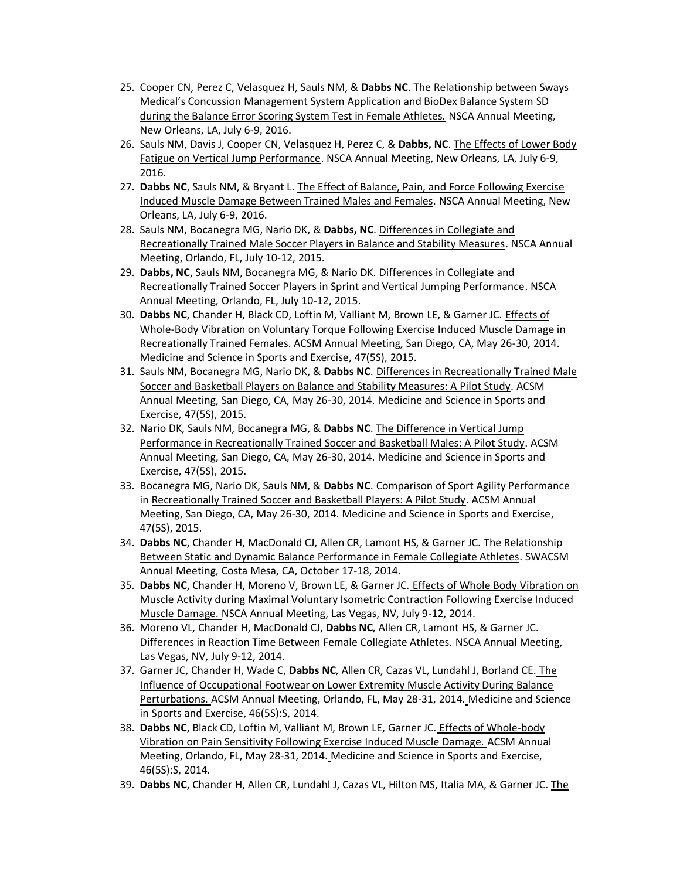- 25. Cooper CN, Perez C, Velasquez H, Sauls NM, & **Dabbs NC**. The Relationship between Sways Medical's Concussion Management System Application and BioDex Balance System SD during the Balance Error Scoring System Test in Female Athletes. NSCA Annual Meeting, New Orleans, LA, July 6-9, 2016.
- 26. Sauls NM, Davis J, Cooper CN, Velasquez H, Perez C, & **Dabbs, NC**. The Effects of Lower Body Fatigue on Vertical Jump Performance. NSCA Annual Meeting, New Orleans, LA, July 6-9, 2016.
- 27. **Dabbs NC**, Sauls NM, & Bryant L. The Effect of Balance, Pain, and Force Following Exercise Induced Muscle Damage Between Trained Males and Females. NSCA Annual Meeting, New Orleans, LA, July 6-9, 2016.
- 28. Sauls NM, Bocanegra MG, Nario DK, & **Dabbs, NC**. Differences in Collegiate and Recreationally Trained Male Soccer Players in Balance and Stability Measures. NSCA Annual Meeting, Orlando, FL, July 10-12, 2015.
- 29. **Dabbs, NC**, Sauls NM, Bocanegra MG, & Nario DK. Differences in Collegiate and Recreationally Trained Soccer Players in Sprint and Vertical Jumping Performance. NSCA Annual Meeting, Orlando, FL, July 10-12, 2015.
- 30. **Dabbs NC**, Chander H, Black CD, Loftin M, Valliant M, Brown LE, & Garner JC. Effects of Whole-Body Vibration on Voluntary Torque Following Exercise Induced Muscle Damage in Recreationally Trained Females. ACSM Annual Meeting, San Diego, CA, May 26-30, 2014. Medicine and Science in Sports and Exercise, 47(5S), 2015.
- 31. Sauls NM, Bocanegra MG, Nario DK, & **Dabbs NC**. Differences in Recreationally Trained Male Soccer and Basketball Players on Balance and Stability Measures: A Pilot Study. ACSM Annual Meeting, San Diego, CA, May 26-30, 2014. Medicine and Science in Sports and Exercise, 47(5S), 2015.
- 32. Nario DK, Sauls NM, Bocanegra MG, & **Dabbs NC**. The Difference in Vertical Jump Performance in Recreationally Trained Soccer and Basketball Males: A Pilot Study. ACSM Annual Meeting, San Diego, CA, May 26-30, 2014. Medicine and Science in Sports and Exercise, 47(5S), 2015.
- 33. Bocanegra MG, Nario DK, Sauls NM, & **Dabbs NC**. Comparison of Sport Agility Performance in Recreationally Trained Soccer and Basketball Players: A Pilot Study. ACSM Annual Meeting, San Diego, CA, May 26-30, 2014. Medicine and Science in Sports and Exercise, 47(5S), 2015.
- 34. **Dabbs NC**, Chander H, MacDonald CJ, Allen CR, Lamont HS, & Garner JC. The Relationship Between Static and Dynamic Balance Performance in Female Collegiate Athletes. SWACSM Annual Meeting, Costa Mesa, CA, October 17-18, 2014.
- 35. **Dabbs NC**, Chander H, Moreno V, Brown LE, & Garner JC. Effects of Whole Body Vibration on Muscle Activity during Maximal Voluntary Isometric Contraction Following Exercise Induced Muscle Damage. NSCA Annual Meeting, Las Vegas, NV, July 9-12, 2014.
- 36. Moreno VL, Chander H, MacDonald CJ, **Dabbs NC**, Allen CR, Lamont HS, & Garner JC. Differences in Reaction Time Between Female Collegiate Athletes. NSCA Annual Meeting, Las Vegas, NV, July 9-12, 2014.
- 37. Garner JC, Chander H, Wade C, **Dabbs NC**, Allen CR, Cazas VL, Lundahl J, Borland CE. The Influence of Occupational Footwear on Lower Extremity Muscle Activity During Balance Perturbations. ACSM Annual Meeting, Orlando, FL, May 28-31, 2014. Medicine and Science in Sports and Exercise, 46(5S):S, 2014.
- 38. **Dabbs NC**, Black CD, Loftin M, Valliant M, Brown LE, Garner JC. Effects of Whole-body Vibration on Pain Sensitivity Following Exercise Induced Muscle Damage. ACSM Annual Meeting, Orlando, FL, May 28-31, 2014. Medicine and Science in Sports and Exercise, 46(5S):S, 2014.
- 39. **Dabbs NC**, Chander H, Allen CR, Lundahl J, Cazas VL, Hilton MS, Italia MA, & Garner JC. The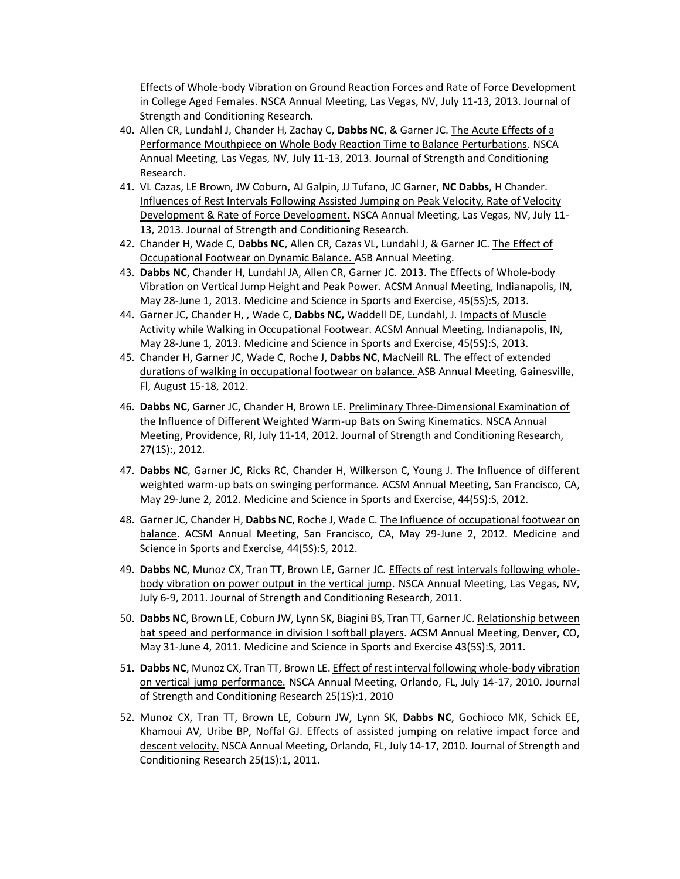Effects of Whole-body Vibration on Ground Reaction Forces and Rate of Force Development in College Aged Females. NSCA Annual Meeting, Las Vegas, NV, July 11-13, 2013. Journal of Strength and Conditioning Research.

- 40. Allen CR, Lundahl J, Chander H, Zachay C, **Dabbs NC**, & Garner JC. The Acute Effects of a Performance Mouthpiece on Whole Body Reaction Time to Balance Perturbations. NSCA Annual Meeting, Las Vegas, NV, July 11-13, 2013. Journal of Strength and Conditioning Research.
- 41. VL Cazas, LE Brown, JW Coburn, AJ Galpin, JJ Tufano, JC Garner, **NC Dabbs**, H Chander. Influences of Rest Intervals Following Assisted Jumping on Peak Velocity, Rate of Velocity Development & Rate of Force Development. NSCA Annual Meeting, Las Vegas, NV, July 11- 13, 2013. Journal of Strength and Conditioning Research.
- 42. Chander H, Wade C, **Dabbs NC**, Allen CR, Cazas VL, Lundahl J, & Garner JC. The Effect of Occupational Footwear on Dynamic Balance. ASB Annual Meeting.
- 43. **Dabbs NC**, Chander H, Lundahl JA, Allen CR, Garner JC. 2013. The Effects of Whole-body Vibration on Vertical Jump Height and Peak Power. ACSM Annual Meeting, Indianapolis, IN, May 28-June 1, 2013. Medicine and Science in Sports and Exercise, 45(5S):S, 2013.
- 44. Garner JC, Chander H, , Wade C, **Dabbs NC,** Waddell DE, Lundahl, J. Impacts of Muscle Activity while Walking in Occupational Footwear. ACSM Annual Meeting, Indianapolis, IN, May 28-June 1, 2013. Medicine and Science in Sports and Exercise, 45(5S):S, 2013.
- 45. Chander H, Garner JC, Wade C, Roche J, **Dabbs NC**, MacNeill RL. The effect of extended durations of walking in occupational footwear on balance. ASB Annual Meeting, Gainesville, Fl, August 15-18, 2012.
- 46. **Dabbs NC**, Garner JC, Chander H, Brown LE. Preliminary Three-Dimensional Examination of the Influence of Different Weighted Warm-up Bats on Swing Kinematics. NSCA Annual Meeting, Providence, RI, July 11-14, 2012. Journal of Strength and Conditioning Research, 27(1S):, 2012.
- 47. **Dabbs NC**, Garner JC, Ricks RC, Chander H, Wilkerson C, Young J. The Influence of different weighted warm-up bats on swinging performance. ACSM Annual Meeting, San Francisco, CA, May 29-June 2, 2012. Medicine and Science in Sports and Exercise, 44(5S):S, 2012.
- 48. Garner JC, Chander H, **Dabbs NC**, Roche J, Wade C. The Influence of occupational footwear on balance. ACSM Annual Meeting, San Francisco, CA, May 29-June 2, 2012. Medicine and Science in Sports and Exercise, 44(5S):S, 2012.
- 49. **Dabbs NC**, Munoz CX, Tran TT, Brown LE, Garner JC. Effects of rest intervals following wholebody vibration on power output in the vertical jump. NSCA Annual Meeting, Las Vegas, NV, July 6-9, 2011. Journal of Strength and Conditioning Research, 2011.
- 50. **Dabbs NC**, Brown LE, Coburn JW, Lynn SK, Biagini BS, Tran TT, Garner JC. Relationship between bat speed and performance in division I softball players. ACSM Annual Meeting, Denver, CO, May 31-June 4, 2011. Medicine and Science in Sports and Exercise 43(5S):S, 2011.
- 51. **Dabbs NC**, Munoz CX, Tran TT, Brown LE. Effect of rest interval following whole-body vibration on vertical jump performance. NSCA Annual Meeting, Orlando, FL, July 14-17, 2010. Journal of Strength and Conditioning Research 25(1S):1, 2010
- 52. Munoz CX, Tran TT, Brown LE, Coburn JW, Lynn SK, **Dabbs NC**, Gochioco MK, Schick EE, Khamoui AV, Uribe BP, Noffal GJ. Effects of assisted jumping on relative impact force and descent velocity. NSCA Annual Meeting, Orlando, FL, July 14-17, 2010. Journal of Strength and Conditioning Research 25(1S):1, 2011.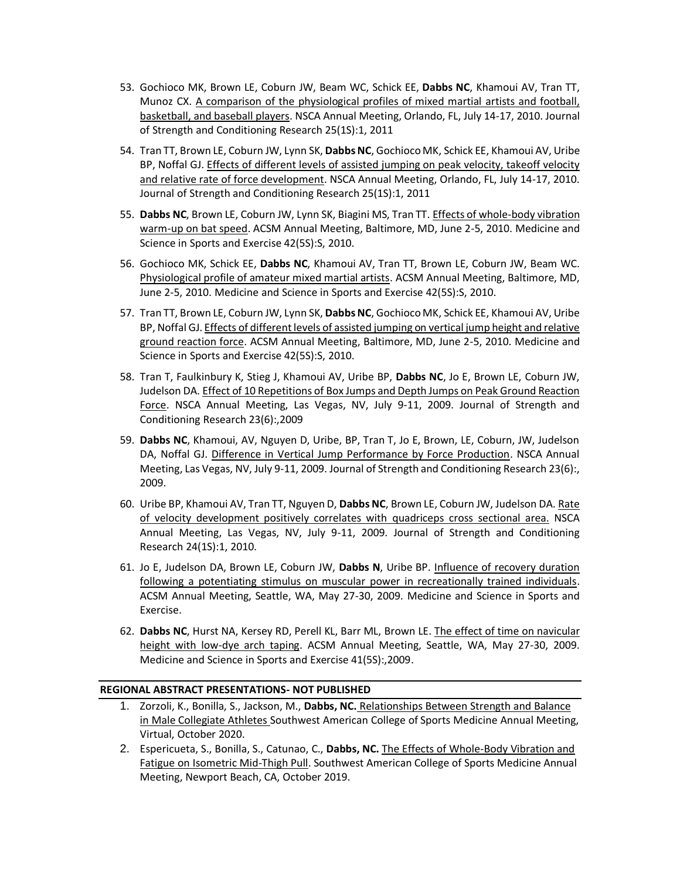- 53. Gochioco MK, Brown LE, Coburn JW, Beam WC, Schick EE, **Dabbs NC**, Khamoui AV, Tran TT, Munoz CX. A comparison of the physiological profiles of mixed martial artists and football, basketball, and baseball players. NSCA Annual Meeting, Orlando, FL, July 14-17, 2010. Journal of Strength and Conditioning Research 25(1S):1, 2011
- 54. Tran TT, Brown LE, Coburn JW, Lynn SK, **Dabbs NC**, Gochioco MK, Schick EE, Khamoui AV, Uribe BP, Noffal GJ. Effects of different levels of assisted jumping on peak velocity, takeoff velocity and relative rate of force development. NSCA Annual Meeting, Orlando, FL, July 14-17, 2010. Journal of Strength and Conditioning Research 25(1S):1, 2011
- 55. **Dabbs NC**, Brown LE, Coburn JW, Lynn SK, Biagini MS, Tran TT. Effects of whole-body vibration warm-up on bat speed. ACSM Annual Meeting, Baltimore, MD, June 2-5, 2010. Medicine and Science in Sports and Exercise 42(5S):S, 2010.
- 56. Gochioco MK, Schick EE, **Dabbs NC**, Khamoui AV, Tran TT, Brown LE, Coburn JW, Beam WC. Physiological profile of amateur mixed martial artists. ACSM Annual Meeting, Baltimore, MD, June 2-5, 2010. Medicine and Science in Sports and Exercise 42(5S):S, 2010.
- 57. Tran TT, Brown LE, Coburn JW, Lynn SK, **Dabbs NC**, Gochioco MK, Schick EE, Khamoui AV, Uribe BP, Noffal GJ. Effects of different levels of assisted jumping on vertical jump height and relative ground reaction force. ACSM Annual Meeting, Baltimore, MD, June 2-5, 2010. Medicine and Science in Sports and Exercise 42(5S):S, 2010.
- 58. Tran T, Faulkinbury K, Stieg J, Khamoui AV, Uribe BP, **Dabbs NC**, Jo E, Brown LE, Coburn JW, Judelson DA. Effect of 10 Repetitions of Box Jumps and Depth Jumps on Peak Ground Reaction Force. NSCA Annual Meeting, Las Vegas, NV, July 9-11, 2009. Journal of Strength and Conditioning Research 23(6):,2009
- 59. **Dabbs NC**, Khamoui, AV, Nguyen D, Uribe, BP, Tran T, Jo E, Brown, LE, Coburn, JW, Judelson DA, Noffal GJ. Difference in Vertical Jump Performance by Force Production. NSCA Annual Meeting, Las Vegas, NV, July 9-11, 2009. Journal of Strength and Conditioning Research 23(6):, 2009.
- 60. Uribe BP, Khamoui AV, Tran TT, Nguyen D, **Dabbs NC**, Brown LE, Coburn JW, Judelson DA. Rate of velocity development positively correlates with quadriceps cross sectional area. NSCA Annual Meeting, Las Vegas, NV, July 9-11, 2009. Journal of Strength and Conditioning Research 24(1S):1, 2010.
- 61. Jo E, Judelson DA, Brown LE, Coburn JW, **Dabbs N**, Uribe BP. Influence of recovery duration following a potentiating stimulus on muscular power in recreationally trained individuals. ACSM Annual Meeting, Seattle, WA, May 27-30, 2009. Medicine and Science in Sports and Exercise.
- 62. **Dabbs NC**, Hurst NA, Kersey RD, Perell KL, Barr ML, Brown LE. The effect of time on navicular height with low-dye arch taping. ACSM Annual Meeting, Seattle, WA, May 27-30, 2009. Medicine and Science in Sports and Exercise 41(5S):,2009.

### **REGIONAL ABSTRACT PRESENTATIONS- NOT PUBLISHED**

- 1. Zorzoli, K., Bonilla, S., Jackson, M., **Dabbs, NC.** Relationships Between Strength and Balance in Male Collegiate Athletes Southwest American College of Sports Medicine Annual Meeting, Virtual, October 2020.
- 2. Espericueta, S., Bonilla, S., Catunao, C., **Dabbs, NC.** The Effects of Whole-Body Vibration and Fatigue on Isometric Mid-Thigh Pull. Southwest American College of Sports Medicine Annual Meeting, Newport Beach, CA, October 2019.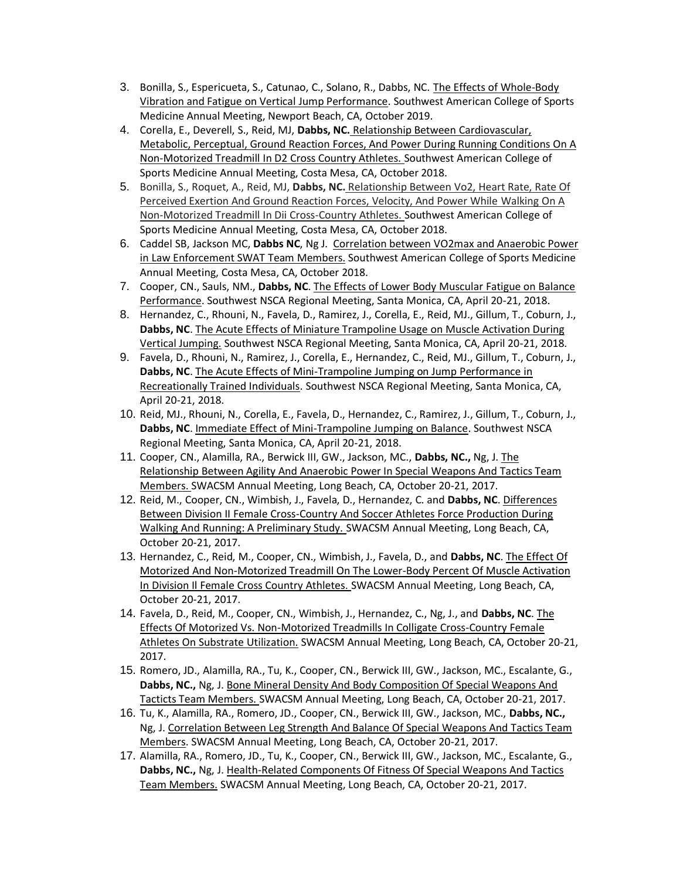- 3. Bonilla, S., Espericueta, S., Catunao, C., Solano, R., Dabbs, NC. The Effects of Whole-Body Vibration and Fatigue on Vertical Jump Performance. Southwest American College of Sports Medicine Annual Meeting, Newport Beach, CA, October 2019.
- 4. Corella, E., Deverell, S., Reid, MJ, **Dabbs, NC.** Relationship Between Cardiovascular, Metabolic, Perceptual, Ground Reaction Forces, And Power During Running Conditions On A Non-Motorized Treadmill In D2 Cross Country Athletes. Southwest American College of Sports Medicine Annual Meeting, Costa Mesa, CA, October 2018.
- 5. Bonilla, S., Roquet, A., Reid, MJ, **Dabbs, NC.** Relationship Between Vo2, Heart Rate, Rate Of Perceived Exertion And Ground Reaction Forces, Velocity, And Power While Walking On A Non-Motorized Treadmill In Dii Cross-Country Athletes. Southwest American College of Sports Medicine Annual Meeting, Costa Mesa, CA, October 2018.
- 6. Caddel SB, Jackson MC, **Dabbs NC**, Ng J. Correlation between VO2max and Anaerobic Power in Law Enforcement SWAT Team Members. Southwest American College of Sports Medicine Annual Meeting, Costa Mesa, CA, October 2018.
- 7. Cooper, CN., Sauls, NM., **Dabbs, NC**. The Effects of Lower Body Muscular Fatigue on Balance Performance. Southwest NSCA Regional Meeting, Santa Monica, CA, April 20-21, 2018.
- 8. Hernandez, C., Rhouni, N., Favela, D., Ramirez, J., Corella, E., Reid, MJ., Gillum, T., Coburn, J., **Dabbs, NC**. The Acute Effects of Miniature Trampoline Usage on Muscle Activation During Vertical Jumping. Southwest NSCA Regional Meeting, Santa Monica, CA, April 20-21, 2018.
- 9. Favela, D., Rhouni, N., Ramirez, J., Corella, E., Hernandez, C., Reid, MJ., Gillum, T., Coburn, J., **Dabbs, NC**. The Acute Effects of Mini-Trampoline Jumping on Jump Performance in Recreationally Trained Individuals. Southwest NSCA Regional Meeting, Santa Monica, CA, April 20-21, 2018.
- 10. Reid, MJ., Rhouni, N., Corella, E., Favela, D., Hernandez, C., Ramirez, J., Gillum, T., Coburn, J., **Dabbs, NC**. Immediate Effect of Mini-Trampoline Jumping on Balance. Southwest NSCA Regional Meeting, Santa Monica, CA, April 20-21, 2018.
- 11. Cooper, CN., Alamilla, RA., Berwick III, GW., Jackson, MC., **Dabbs, NC.,** Ng, J. The Relationship Between Agility And Anaerobic Power In Special Weapons And Tactics Team Members. SWACSM Annual Meeting, Long Beach, CA, October 20-21, 2017.
- 12. Reid, M., Cooper, CN., Wimbish, J., Favela, D., Hernandez, C. and **Dabbs, NC**. Differences Between Division II Female Cross-Country And Soccer Athletes Force Production During Walking And Running: A Preliminary Study. SWACSM Annual Meeting, Long Beach, CA, October 20-21, 2017.
- 13. Hernandez, C., Reid, M., Cooper, CN., Wimbish, J., Favela, D., and **Dabbs, NC**. The Effect Of Motorized And Non-Motorized Treadmill On The Lower-Body Percent Of Muscle Activation In Division Il Female Cross Country Athletes. SWACSM Annual Meeting, Long Beach, CA, October 20-21, 2017.
- 14. Favela, D., Reid, M., Cooper, CN., Wimbish, J., Hernandez, C., Ng, J., and **Dabbs, NC**. The Effects Of Motorized Vs. Non-Motorized Treadmills In Colligate Cross-Country Female Athletes On Substrate Utilization. SWACSM Annual Meeting, Long Beach, CA, October 20-21, 2017.
- 15. Romero, JD., Alamilla, RA., Tu, K., Cooper, CN., Berwick III, GW., Jackson, MC., Escalante, G., **Dabbs, NC.,** Ng, J. Bone Mineral Density And Body Composition Of Special Weapons And Tacticts Team Members. SWACSM Annual Meeting, Long Beach, CA, October 20-21, 2017.
- 16. Tu, K., Alamilla, RA., Romero, JD., Cooper, CN., Berwick III, GW., Jackson, MC., **Dabbs, NC.,** Ng, J. Correlation Between Leg Strength And Balance Of Special Weapons And Tactics Team Members. SWACSM Annual Meeting, Long Beach, CA, October 20-21, 2017.
- 17. Alamilla, RA., Romero, JD., Tu, K., Cooper, CN., Berwick III, GW., Jackson, MC., Escalante, G., **Dabbs, NC.,** Ng, J. Health-Related Components Of Fitness Of Special Weapons And Tactics Team Members. SWACSM Annual Meeting, Long Beach, CA, October 20-21, 2017.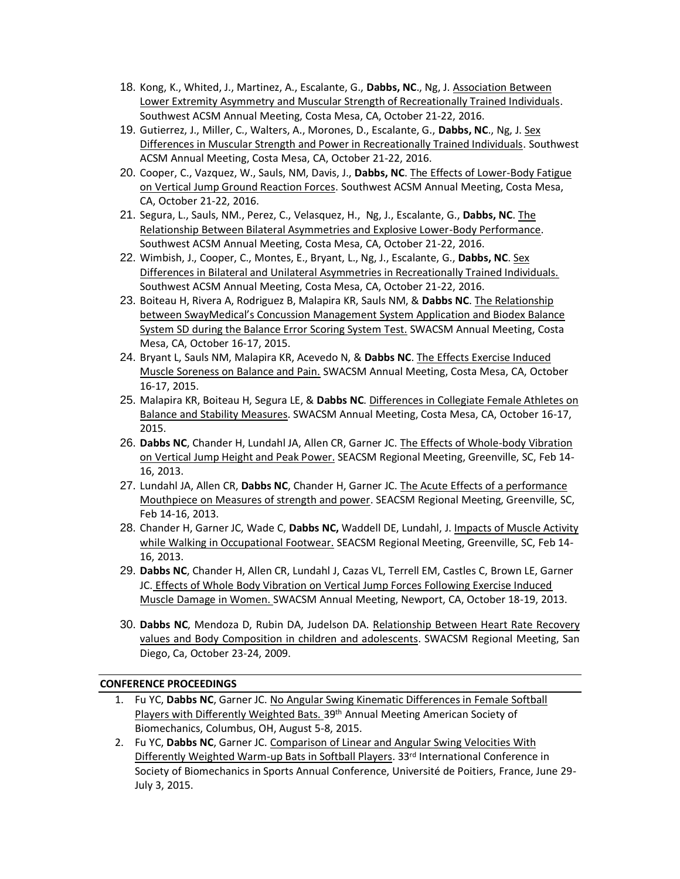- 18. Kong, K., Whited, J., Martinez, A., Escalante, G., **Dabbs, NC**., Ng, J. Association Between Lower Extremity Asymmetry and Muscular Strength of Recreationally Trained Individuals. Southwest ACSM Annual Meeting, Costa Mesa, CA, October 21-22, 2016.
- 19. Gutierrez, J., Miller, C., Walters, A., Morones, D., Escalante, G., **Dabbs, NC**., Ng, J. Sex Differences in Muscular Strength and Power in Recreationally Trained Individuals. Southwest ACSM Annual Meeting, Costa Mesa, CA, October 21-22, 2016.
- 20. Cooper, C., Vazquez, W., Sauls, NM, Davis, J., **Dabbs, NC**. The Effects of Lower-Body Fatigue on Vertical Jump Ground Reaction Forces. Southwest ACSM Annual Meeting, Costa Mesa, CA, October 21-22, 2016.
- 21. Segura, L., Sauls, NM., Perez, C., Velasquez, H., Ng, J., Escalante, G., **Dabbs, NC**. The Relationship Between Bilateral Asymmetries and Explosive Lower-Body Performance. Southwest ACSM Annual Meeting, Costa Mesa, CA, October 21-22, 2016.
- 22. Wimbish, J., Cooper, C., Montes, E., Bryant, L., Ng, J., Escalante, G., **Dabbs, NC**. Sex Differences in Bilateral and Unilateral Asymmetries in Recreationally Trained Individuals. Southwest ACSM Annual Meeting, Costa Mesa, CA, October 21-22, 2016.
- 23. Boiteau H, Rivera A, Rodriguez B, Malapira KR, Sauls NM, & **Dabbs NC**. The Relationship between SwayMedical's Concussion Management System Application and Biodex Balance System SD during the Balance Error Scoring System Test. SWACSM Annual Meeting, Costa Mesa, CA, October 16-17, 2015.
- 24. Bryant L, Sauls NM, Malapira KR, Acevedo N, & **Dabbs NC**. The Effects Exercise Induced Muscle Soreness on Balance and Pain. SWACSM Annual Meeting, Costa Mesa, CA, October 16-17, 2015.
- 25. Malapira KR, Boiteau H, Segura LE, & **Dabbs NC**. Differences in Collegiate Female Athletes on Balance and Stability Measures. SWACSM Annual Meeting, Costa Mesa, CA, October 16-17, 2015.
- 26. **Dabbs NC**, Chander H, Lundahl JA, Allen CR, Garner JC. The Effects of Whole-body Vibration on Vertical Jump Height and Peak Power. SEACSM Regional Meeting, Greenville, SC, Feb 14- 16, 2013.
- 27. Lundahl JA, Allen CR, **Dabbs NC**, Chander H, Garner JC. The Acute Effects of a performance Mouthpiece on Measures of strength and power. SEACSM Regional Meeting, Greenville, SC, Feb 14-16, 2013.
- 28. Chander H, Garner JC, Wade C, **Dabbs NC,** Waddell DE, Lundahl, J. Impacts of Muscle Activity while Walking in Occupational Footwear. SEACSM Regional Meeting, Greenville, SC, Feb 14- 16, 2013.
- 29. **Dabbs NC**, Chander H, Allen CR, Lundahl J, Cazas VL, Terrell EM, Castles C, Brown LE, Garner JC. Effects of Whole Body Vibration on Vertical Jump Forces Following Exercise Induced Muscle Damage in Women. SWACSM Annual Meeting, Newport, CA, October 18-19, 2013.
- 30. **Dabbs NC**, Mendoza D, Rubin DA, Judelson DA. Relationship Between Heart Rate Recovery values and Body Composition in children and adolescents. SWACSM Regional Meeting, San Diego, Ca, October 23-24, 2009.

## **CONFERENCE PROCEEDINGS**

- 1. Fu YC, **Dabbs NC**, Garner JC. No Angular Swing Kinematic Differences in Female Softball Players with Differently Weighted Bats. 39th Annual Meeting American Society of Biomechanics, Columbus, OH, August 5-8, 2015.
- 2. Fu YC, **Dabbs NC**, Garner JC. Comparison of Linear and Angular Swing Velocities With Differently Weighted Warm-up Bats in Softball Players. 33rd International Conference in Society of Biomechanics in Sports Annual Conference, Université de Poitiers, France, June 29- July 3, 2015.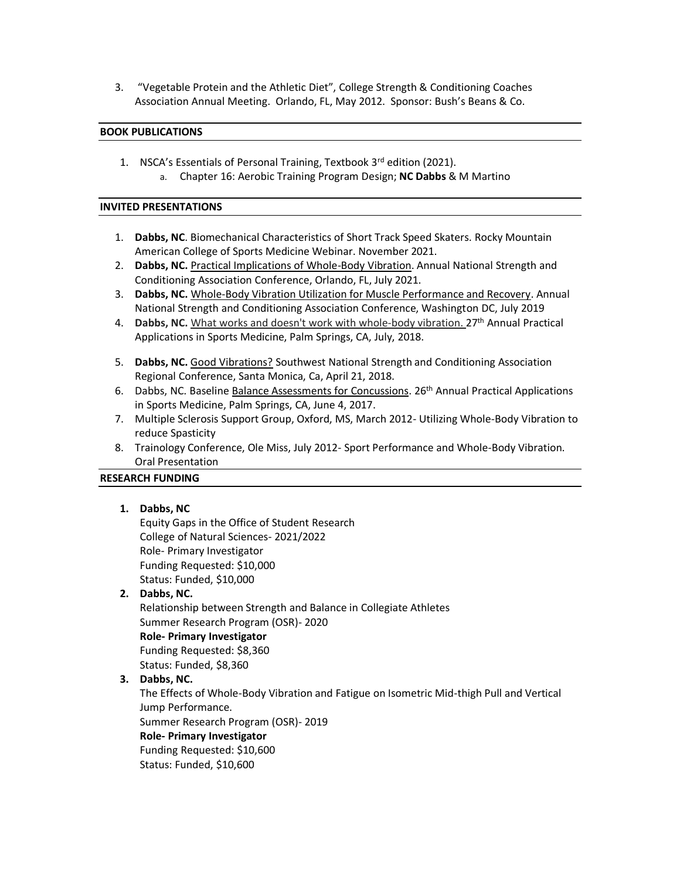3. "Vegetable Protein and the Athletic Diet", College Strength & Conditioning Coaches Association Annual Meeting. Orlando, FL, May 2012. Sponsor: Bush's Beans & Co.

### **BOOK PUBLICATIONS**

1. NSCA's Essentials of Personal Training, Textbook 3rd edition (2021). a. Chapter 16: Aerobic Training Program Design; **NC Dabbs** & M Martino

#### **INVITED PRESENTATIONS**

- 1. **Dabbs, NC**. Biomechanical Characteristics of Short Track Speed Skaters. Rocky Mountain American College of Sports Medicine Webinar. November 2021.
- 2. **Dabbs, NC.** Practical Implications of Whole-Body Vibration. Annual National Strength and Conditioning Association Conference, Orlando, FL, July 2021.
- 3. **Dabbs, NC.** Whole-Body Vibration Utilization for Muscle Performance and Recovery. Annual National Strength and Conditioning Association Conference, Washington DC, July 2019
- 4. **Dabbs, NC.** What works and doesn't work with whole-body vibration. 27<sup>th</sup> Annual Practical Applications in Sports Medicine, Palm Springs, CA, July, 2018.
- 5. **Dabbs, NC.** Good Vibrations? Southwest National Strength and Conditioning Association Regional Conference, Santa Monica, Ca, April 21, 2018.
- 6. Dabbs, NC. Baseline Balance Assessments for Concussions. 26th Annual Practical Applications in Sports Medicine, Palm Springs, CA, June 4, 2017.
- 7. Multiple Sclerosis Support Group, Oxford, MS, March 2012- Utilizing Whole-Body Vibration to reduce Spasticity
- 8. Trainology Conference, Ole Miss, July 2012- Sport Performance and Whole-Body Vibration. Oral Presentation

### **RESEARCH FUNDING**

### **1. Dabbs, NC**

Equity Gaps in the Office of Student Research College of Natural Sciences- 2021/2022 Role- Primary Investigator Funding Requested: \$10,000 Status: Funded, \$10,000

# **2. Dabbs, NC.**

Relationship between Strength and Balance in Collegiate Athletes Summer Research Program (OSR)- 2020 **Role- Primary Investigator**  Funding Requested: \$8,360

Status: Funded, \$8,360

### **3. Dabbs, NC.**

The Effects of Whole-Body Vibration and Fatigue on Isometric Mid-thigh Pull and Vertical Jump Performance. Summer Research Program (OSR)- 2019

**Role- Primary Investigator** 

Funding Requested: \$10,600

Status: Funded, \$10,600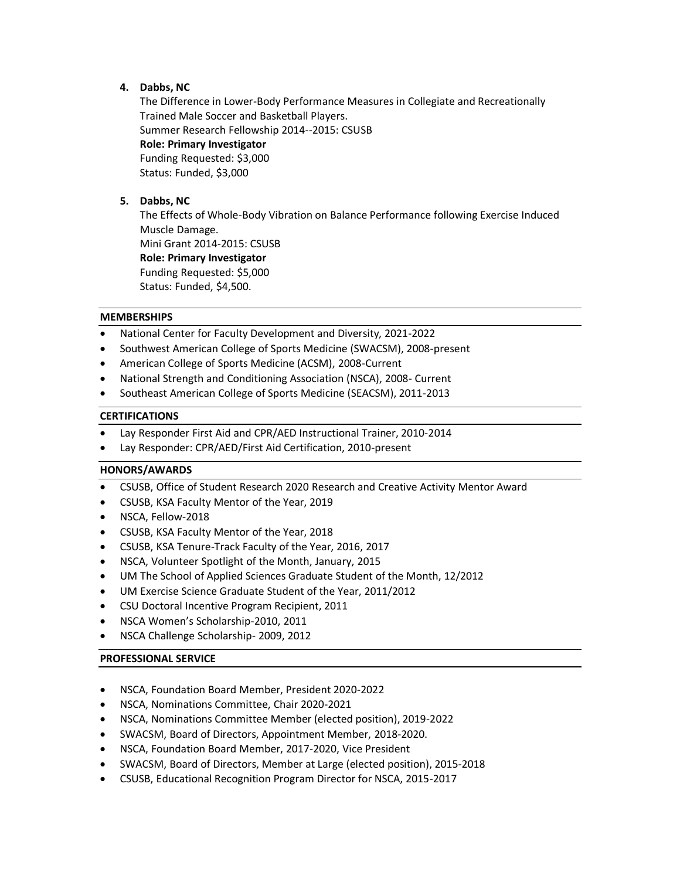# **4. Dabbs, NC**

The Difference in Lower-Body Performance Measures in Collegiate and Recreationally Trained Male Soccer and Basketball Players. Summer Research Fellowship 2014--2015: CSUSB **Role: Primary Investigator**  Funding Requested: \$3,000 Status: Funded, \$3,000

# **5. Dabbs, NC**

The Effects of Whole-Body Vibration on Balance Performance following Exercise Induced Muscle Damage. Mini Grant 2014-2015: CSUSB **Role: Primary Investigator**  Funding Requested: \$5,000 Status: Funded, \$4,500.

### **MEMBERSHIPS**

- National Center for Faculty Development and Diversity, 2021-2022
- Southwest American College of Sports Medicine (SWACSM), 2008-present
- American College of Sports Medicine (ACSM), 2008-Current
- National Strength and Conditioning Association (NSCA), 2008- Current
- Southeast American College of Sports Medicine (SEACSM), 2011-2013

### **CERTIFICATIONS**

- Lay Responder First Aid and CPR/AED Instructional Trainer, 2010-2014
- Lay Responder: CPR/AED/First Aid Certification, 2010-present

## **HONORS/AWARDS**

- CSUSB, Office of Student Research 2020 Research and Creative Activity Mentor Award
- CSUSB, KSA Faculty Mentor of the Year, 2019
- NSCA, Fellow-2018
- CSUSB, KSA Faculty Mentor of the Year, 2018
- CSUSB, KSA Tenure-Track Faculty of the Year, 2016, 2017
- NSCA, Volunteer Spotlight of the Month, January, 2015
- UM The School of Applied Sciences Graduate Student of the Month, 12/2012
- UM Exercise Science Graduate Student of the Year, 2011/2012
- CSU Doctoral Incentive Program Recipient, 2011
- NSCA Women's Scholarship-2010, 2011
- NSCA Challenge Scholarship- 2009, 2012

### **PROFESSIONAL SERVICE**

- NSCA, Foundation Board Member, President 2020-2022
- NSCA, Nominations Committee, Chair 2020-2021
- NSCA, Nominations Committee Member (elected position), 2019-2022
- SWACSM, Board of Directors, Appointment Member, 2018-2020.
- NSCA, Foundation Board Member, 2017-2020, Vice President
- SWACSM, Board of Directors, Member at Large (elected position), 2015-2018
- CSUSB, Educational Recognition Program Director for NSCA, 2015-2017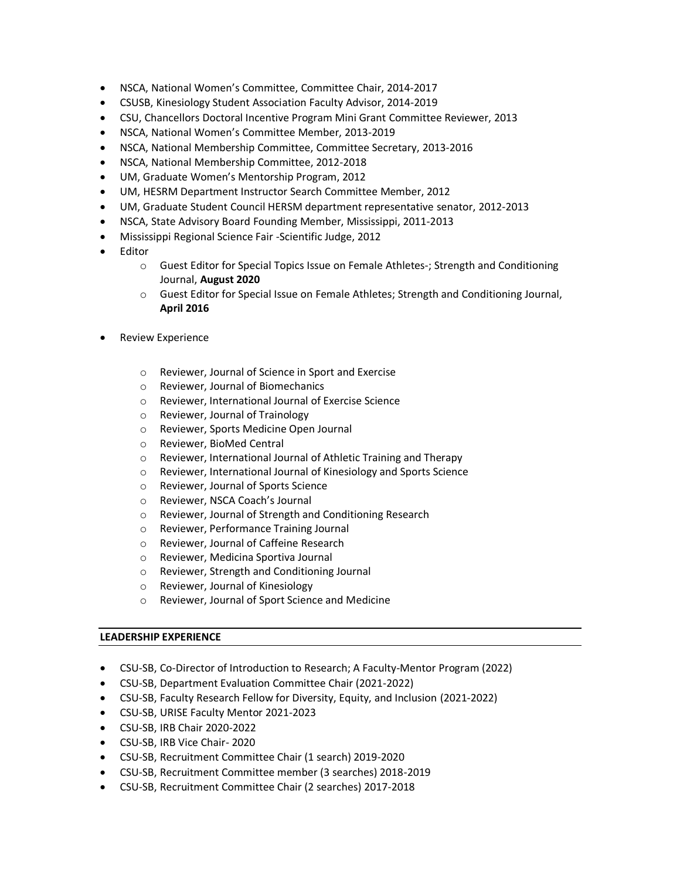- NSCA, National Women's Committee, Committee Chair, 2014-2017
- CSUSB, Kinesiology Student Association Faculty Advisor, 2014-2019
- CSU, Chancellors Doctoral Incentive Program Mini Grant Committee Reviewer, 2013
- NSCA, National Women's Committee Member, 2013-2019
- NSCA, National Membership Committee, Committee Secretary, 2013-2016
- NSCA, National Membership Committee, 2012-2018
- UM, Graduate Women's Mentorship Program, 2012
- UM, HESRM Department Instructor Search Committee Member, 2012
- UM, Graduate Student Council HERSM department representative senator, 2012-2013
- NSCA, State Advisory Board Founding Member, Mississippi, 2011-2013
- Mississippi Regional Science Fair -Scientific Judge, 2012
- Editor
	- o Guest Editor for Special Topics Issue on Female Athletes-; Strength and Conditioning Journal, **August 2020**
	- o Guest Editor for Special Issue on Female Athletes; Strength and Conditioning Journal, **April 2016**
- Review Experience
	- o Reviewer, Journal of Science in Sport and Exercise
	- o Reviewer, Journal of Biomechanics
	- o Reviewer, International Journal of Exercise Science
	- o Reviewer, Journal of Trainology
	- o Reviewer, Sports Medicine Open Journal
	- o Reviewer, BioMed Central
	- o Reviewer, International Journal of Athletic Training and Therapy
	- o Reviewer, International Journal of Kinesiology and Sports Science
	- o Reviewer, Journal of Sports Science
	- o Reviewer, NSCA Coach's Journal
	- o Reviewer, Journal of Strength and Conditioning Research
	- o Reviewer, Performance Training Journal
	- o Reviewer, Journal of Caffeine Research
	- o Reviewer, Medicina Sportiva Journal
	- o Reviewer, Strength and Conditioning Journal
	- o Reviewer, Journal of Kinesiology
	- o Reviewer, Journal of Sport Science and Medicine

### **LEADERSHIP EXPERIENCE**

- CSU-SB, Co-Director of Introduction to Research; A Faculty-Mentor Program (2022)
- CSU-SB, Department Evaluation Committee Chair (2021-2022)
- CSU-SB, Faculty Research Fellow for Diversity, Equity, and Inclusion (2021-2022)
- CSU-SB, URISE Faculty Mentor 2021-2023
- CSU-SB, IRB Chair 2020-2022
- CSU-SB, IRB Vice Chair- 2020
- CSU-SB, Recruitment Committee Chair (1 search) 2019-2020
- CSU-SB, Recruitment Committee member (3 searches) 2018-2019
- CSU-SB, Recruitment Committee Chair (2 searches) 2017-2018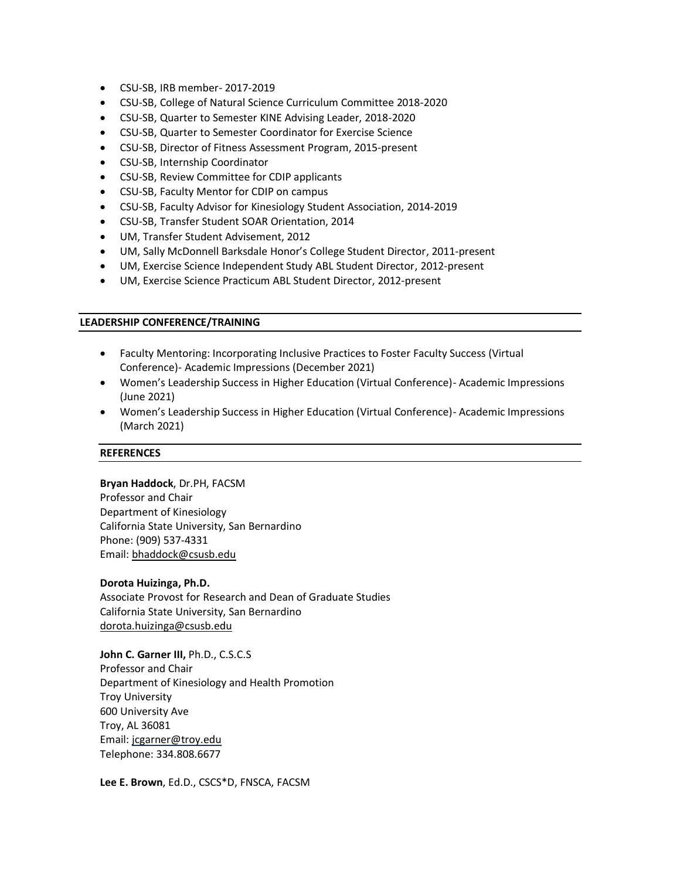- CSU-SB, IRB member- 2017-2019
- CSU-SB, College of Natural Science Curriculum Committee 2018-2020
- CSU-SB, Quarter to Semester KINE Advising Leader, 2018-2020
- CSU-SB, Quarter to Semester Coordinator for Exercise Science
- CSU-SB, Director of Fitness Assessment Program, 2015-present
- CSU-SB, Internship Coordinator
- CSU-SB, Review Committee for CDIP applicants
- CSU-SB, Faculty Mentor for CDIP on campus
- CSU-SB, Faculty Advisor for Kinesiology Student Association, 2014-2019
- CSU-SB, Transfer Student SOAR Orientation, 2014
- UM, Transfer Student Advisement, 2012
- UM, Sally McDonnell Barksdale Honor's College Student Director, 2011-present
- UM, Exercise Science Independent Study ABL Student Director, 2012-present
- UM, Exercise Science Practicum ABL Student Director, 2012-present

### **LEADERSHIP CONFERENCE/TRAINING**

- Faculty Mentoring: Incorporating Inclusive Practices to Foster Faculty Success (Virtual Conference)- Academic Impressions (December 2021)
- Women's Leadership Success in Higher Education (Virtual Conference)- Academic Impressions (June 2021)
- Women's Leadership Success in Higher Education (Virtual Conference)- Academic Impressions (March 2021)

#### **REFERENCES**

**Bryan Haddock**, Dr.PH, FACSM Professor and Chair Department of Kinesiology California State University, San Bernardino Phone: (909) 537-4331 Email[: bhaddock@csusb.edu](mailto:bhaddock@csusb.edu)

### **Dorota Huizinga, Ph.D.**

Associate Provost for Research and Dean of Graduate Studies California State University, San Bernardino [dorota.huizinga@csusb.edu](mailto:dorota.huizinga@csusb.edu)

**John C. Garner III,** Ph.D., C.S.C.S Professor and Chair Department of Kinesiology and Health Promotion Troy University 600 University Ave Troy, AL 36081 Email: jcgarner@troy.edu Telephone: 334.808.6677

**Lee E. Brown**, Ed.D., CSCS\*D, FNSCA, FACSM